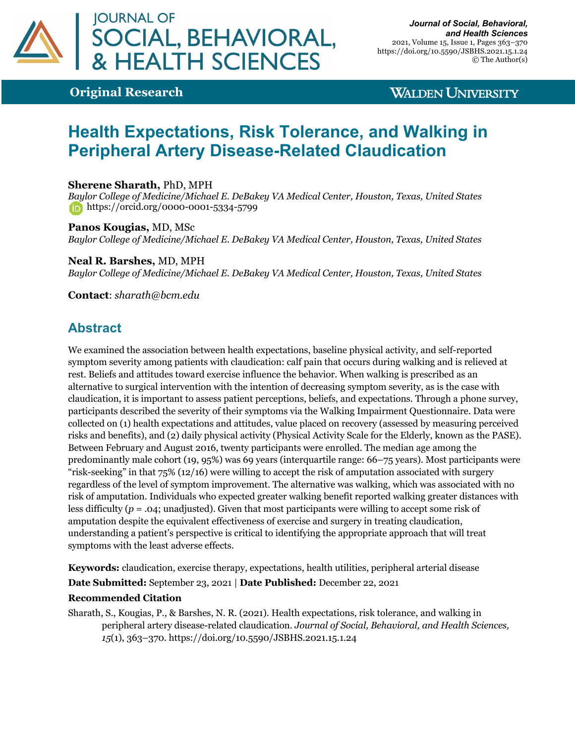

## **Original Research**

## **WALDEN UNIVERSITY**

# **Health Expectations, Risk Tolerance, and Walking in Peripheral Artery Disease-Related Claudication**

### **Sherene Sharath,** PhD, MPH

*Baylor College of Medicine/Michael E. DeBakey VA Medical Center, Houston, Texas, United States* https://orcid.org/0000-0001-5334-5799

#### **Panos Kougias,** MD, MSc *Baylor College of Medicine/Michael E. DeBakey VA Medical Center, Houston, Texas, United States*

**Neal R. Barshes,** MD, MPH *Baylor College of Medicine/Michael E. DeBakey VA Medical Center, Houston, Texas, United States*

**Contact**: *sharath@bcm.edu*

## **Abstract**

We examined the association between health expectations, baseline physical activity, and self-reported symptom severity among patients with claudication: calf pain that occurs during walking and is relieved at rest. Beliefs and attitudes toward exercise influence the behavior. When walking is prescribed as an alternative to surgical intervention with the intention of decreasing symptom severity, as is the case with claudication, it is important to assess patient perceptions, beliefs, and expectations. Through a phone survey, participants described the severity of their symptoms via the Walking Impairment Questionnaire. Data were collected on (1) health expectations and attitudes, value placed on recovery (assessed by measuring perceived risks and benefits), and (2) daily physical activity (Physical Activity Scale for the Elderly, known as the PASE). Between February and August 2016, twenty participants were enrolled. The median age among the predominantly male cohort (19, 95%) was 69 years (interquartile range: 66–75 years). Most participants were "risk-seeking" in that 75% (12/16) were willing to accept the risk of amputation associated with surgery regardless of the level of symptom improvement. The alternative was walking, which was associated with no risk of amputation. Individuals who expected greater walking benefit reported walking greater distances with less difficulty (*p* = .04; unadjusted). Given that most participants were willing to accept some risk of amputation despite the equivalent effectiveness of exercise and surgery in treating claudication, understanding a patient's perspective is critical to identifying the appropriate approach that will treat symptoms with the least adverse effects.

**Keywords:** claudication, exercise therapy, expectations, health utilities, peripheral arterial disease

**Date Submitted:** September 23, 2021 | **Date Published:** December 22, 2021

#### **Recommended Citation**

Sharath, S., Kougias, P., & Barshes, N. R. (2021). Health expectations, risk tolerance, and walking in peripheral artery disease-related claudication. *Journal of Social, Behavioral, and Health Sciences, 15*(1), 363–370. https://doi.org/10.5590/JSBHS.2021.15.1.24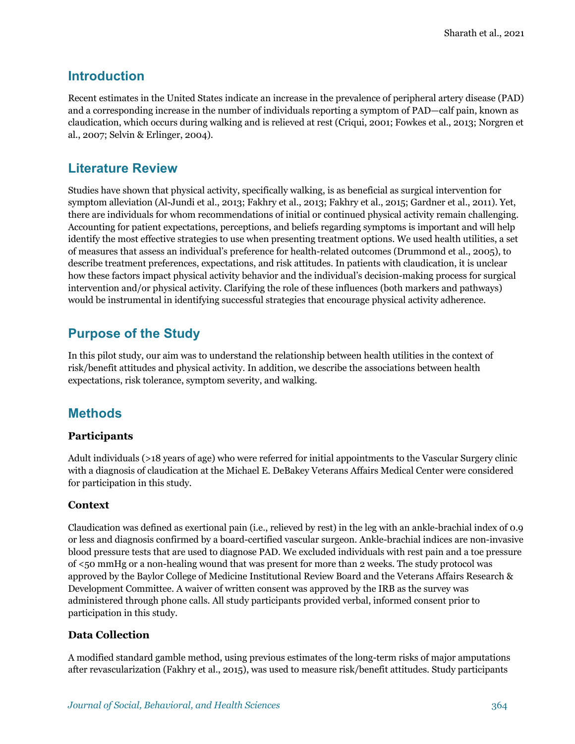## **Introduction**

Recent estimates in the United States indicate an increase in the prevalence of peripheral artery disease (PAD) and a corresponding increase in the number of individuals reporting a symptom of PAD—calf pain, known as claudication, which occurs during walking and is relieved at rest (Criqui, 2001; Fowkes et al., 2013; Norgren et al., 2007; Selvin & Erlinger, 2004).

## **Literature Review**

Studies have shown that physical activity, specifically walking, is as beneficial as surgical intervention for symptom alleviation (Al-Jundi et al., 2013; Fakhry et al., 2013; Fakhry et al., 2015; Gardner et al., 2011). Yet, there are individuals for whom recommendations of initial or continued physical activity remain challenging. Accounting for patient expectations, perceptions, and beliefs regarding symptoms is important and will help identify the most effective strategies to use when presenting treatment options. We used health utilities, a set of measures that assess an individual's preference for health-related outcomes (Drummond et al., 2005), to describe treatment preferences, expectations, and risk attitudes. In patients with claudication, it is unclear how these factors impact physical activity behavior and the individual's decision-making process for surgical intervention and/or physical activity. Clarifying the role of these influences (both markers and pathways) would be instrumental in identifying successful strategies that encourage physical activity adherence.

## **Purpose of the Study**

In this pilot study, our aim was to understand the relationship between health utilities in the context of risk/benefit attitudes and physical activity. In addition, we describe the associations between health expectations, risk tolerance, symptom severity, and walking.

## **Methods**

### **Participants**

Adult individuals (>18 years of age) who were referred for initial appointments to the Vascular Surgery clinic with a diagnosis of claudication at the Michael E. DeBakey Veterans Affairs Medical Center were considered for participation in this study.

### **Context**

Claudication was defined as exertional pain (i.e., relieved by rest) in the leg with an ankle-brachial index of 0.9 or less and diagnosis confirmed by a board-certified vascular surgeon. Ankle-brachial indices are non-invasive blood pressure tests that are used to diagnose PAD. We excluded individuals with rest pain and a toe pressure of <50 mmHg or a non-healing wound that was present for more than 2 weeks. The study protocol was approved by the Baylor College of Medicine Institutional Review Board and the Veterans Affairs Research & Development Committee. A waiver of written consent was approved by the IRB as the survey was administered through phone calls. All study participants provided verbal, informed consent prior to participation in this study.

### **Data Collection**

A modified standard gamble method, using previous estimates of the long-term risks of major amputations after revascularization (Fakhry et al., 2015), was used to measure risk/benefit attitudes. Study participants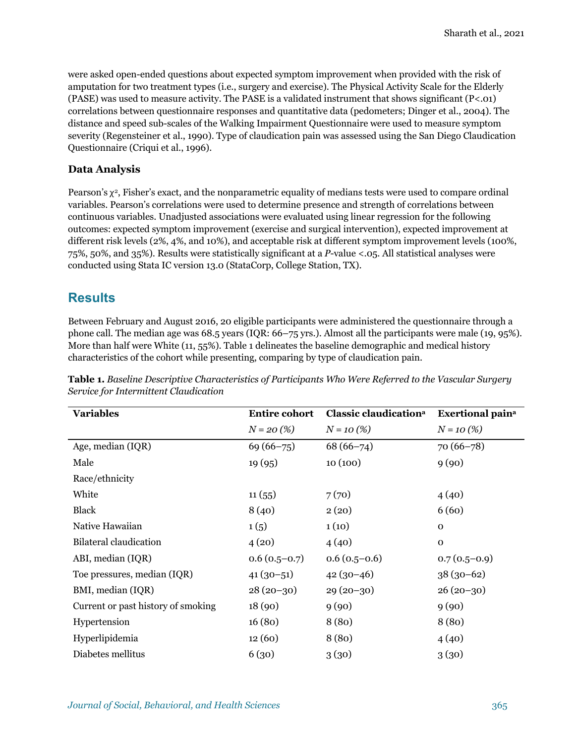were asked open-ended questions about expected symptom improvement when provided with the risk of amputation for two treatment types (i.e., surgery and exercise). The Physical Activity Scale for the Elderly (PASE) was used to measure activity. The PASE is a validated instrument that shows significant  $(P<.01)$ correlations between questionnaire responses and quantitative data (pedometers; Dinger et al., 2004). The distance and speed sub-scales of the Walking Impairment Questionnaire were used to measure symptom severity (Regensteiner et al., 1990). Type of claudication pain was assessed using the San Diego Claudication Questionnaire (Criqui et al., 1996).

### **Data Analysis**

Pearson's  $\chi^2$ , Fisher's exact, and the nonparametric equality of medians tests were used to compare ordinal variables. Pearson's correlations were used to determine presence and strength of correlations between continuous variables. Unadjusted associations were evaluated using linear regression for the following outcomes: expected symptom improvement (exercise and surgical intervention), expected improvement at different risk levels (2%, 4%, and 10%), and acceptable risk at different symptom improvement levels (100%, 75%, 50%, and 35%). Results were statistically significant at a *P*-value <.05. All statistical analyses were conducted using Stata IC version 13.0 (StataCorp, College Station, TX).

## **Results**

Between February and August 2016, 20 eligible participants were administered the questionnaire through a phone call. The median age was 68.5 years (IQR: 66–75 yrs.). Almost all the participants were male (19, 95%). More than half were White (11, 55%). Table 1 delineates the baseline demographic and medical history characteristics of the cohort while presenting, comparing by type of claudication pain.

| <b>Variables</b>                   | <b>Entire cohort</b> | Classic claudication <sup>a</sup> | <b>Exertional paina</b> |
|------------------------------------|----------------------|-----------------------------------|-------------------------|
|                                    | $N = 20\,(%$         | $N = 10(%)$                       | $N = 10(%)$             |
| Age, median (IQR)                  | $69(66 - 75)$        | $68(66 - 74)$                     | $70(66 - 78)$           |
| Male                               | 19(95)               | 10(100)                           | 9(90)                   |
| Race/ethnicity                     |                      |                                   |                         |
| White                              | 11(55)               | 7(70)                             | 4(40)                   |
| <b>Black</b>                       | 8(40)                | 2(20)                             | 6(60)                   |
| Native Hawaiian                    | 1(5)                 | 1(10)                             | $\mathbf{O}$            |
| Bilateral claudication             | 4(20)                | 4(40)                             | $\mathbf{O}$            |
| ABI, median (IQR)                  | $0.6(0.5-0.7)$       | $0.6(0.5-0.6)$                    | $0.7(0.5-0.9)$          |
| Toe pressures, median (IQR)        | $41(30-51)$          | $42(30-46)$                       | $38(30-62)$             |
| BMI, median (IQR)                  | $28(20-30)$          | $29(20-30)$                       | $26(20-30)$             |
| Current or past history of smoking | 18(90)               | 9(90)                             | 9(90)                   |
| Hypertension                       | 16(80)               | 8(80)                             | 8(80)                   |
| Hyperlipidemia                     | 12(60)               | 8(80)                             | 4(40)                   |
| Diabetes mellitus                  | 6(30)                | 3(30)                             | 3(30)                   |

**Table 1.** *Baseline Descriptive Characteristics of Participants Who Were Referred to the Vascular Surgery Service for Intermittent Claudication*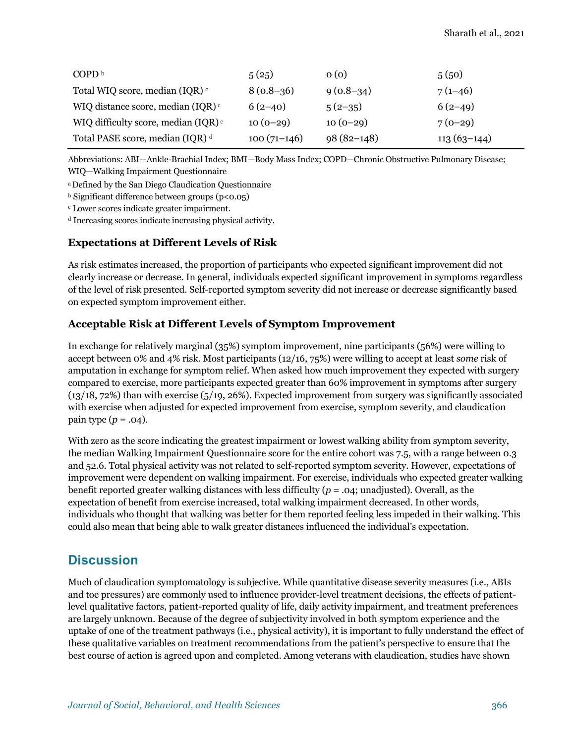| COPD <sup>b</sup>                               | 5(25)         | 0(0)         | 5(50)         |
|-------------------------------------------------|---------------|--------------|---------------|
| Total WIQ score, median (IQR) c                 | $8(0.8-36)$   | $9(0.8-34)$  | $7(1-46)$     |
| WIQ distance score, median $(IQR)$ <sup>c</sup> | $6(2-40)$     | $5(2-35)$    | $6(2-49)$     |
| WIQ difficulty score, median (IQR) <sup>c</sup> | $10(0-29)$    | $10(0-29)$   | $7(0-29)$     |
| Total PASE score, median (IQR) <sup>d</sup>     | $100(71-146)$ | $98(82-148)$ | $113(63-144)$ |

Abbreviations: ABI—Ankle-Brachial Index; BMI—Body Mass Index; COPD—Chronic Obstructive Pulmonary Disease; WIQ—Walking Impairment Questionnaire

a Defined by the San Diego Claudication Questionnaire

**b** Significant difference between groups (p<0.05)

<sup>c</sup> Lower scores indicate greater impairment.

<sup>d</sup> Increasing scores indicate increasing physical activity.

### **Expectations at Different Levels of Risk**

As risk estimates increased, the proportion of participants who expected significant improvement did not clearly increase or decrease. In general, individuals expected significant improvement in symptoms regardless of the level of risk presented. Self-reported symptom severity did not increase or decrease significantly based on expected symptom improvement either.

### **Acceptable Risk at Different Levels of Symptom Improvement**

In exchange for relatively marginal (35%) symptom improvement, nine participants (56%) were willing to accept between 0% and 4% risk. Most participants (12/16, 75%) were willing to accept at least *some* risk of amputation in exchange for symptom relief. When asked how much improvement they expected with surgery compared to exercise, more participants expected greater than 60% improvement in symptoms after surgery (13/18, 72%) than with exercise (5/19, 26%). Expected improvement from surgery was significantly associated with exercise when adjusted for expected improvement from exercise, symptom severity, and claudication pain type  $(p = .04)$ .

With zero as the score indicating the greatest impairment or lowest walking ability from symptom severity, the median Walking Impairment Questionnaire score for the entire cohort was 7.5, with a range between 0.3 and 52.6. Total physical activity was not related to self-reported symptom severity. However, expectations of improvement were dependent on walking impairment. For exercise, individuals who expected greater walking benefit reported greater walking distances with less difficulty (*p* = .04; unadjusted). Overall, as the expectation of benefit from exercise increased, total walking impairment decreased. In other words, individuals who thought that walking was better for them reported feeling less impeded in their walking. This could also mean that being able to walk greater distances influenced the individual's expectation.

## **Discussion**

Much of claudication symptomatology is subjective. While quantitative disease severity measures (i.e., ABIs and toe pressures) are commonly used to influence provider-level treatment decisions, the effects of patientlevel qualitative factors, patient-reported quality of life, daily activity impairment, and treatment preferences are largely unknown. Because of the degree of subjectivity involved in both symptom experience and the uptake of one of the treatment pathways (i.e., physical activity), it is important to fully understand the effect of these qualitative variables on treatment recommendations from the patient's perspective to ensure that the best course of action is agreed upon and completed. Among veterans with claudication, studies have shown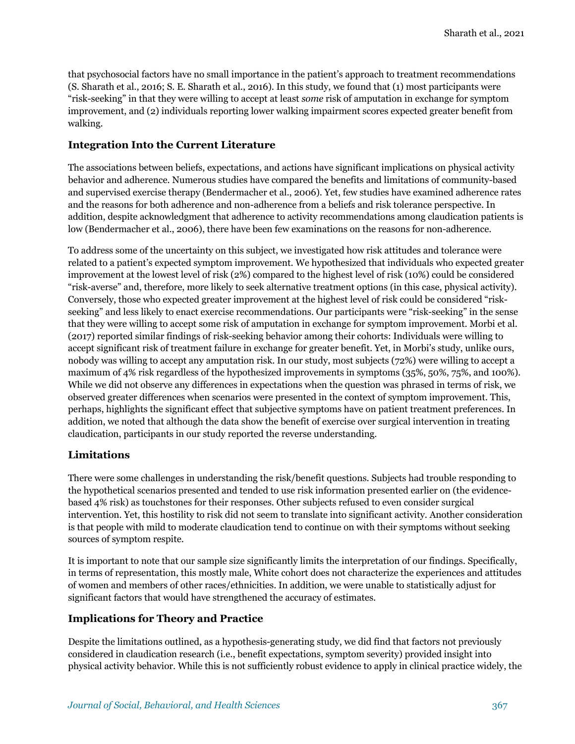that psychosocial factors have no small importance in the patient's approach to treatment recommendations (S. Sharath et al., 2016; S. E. Sharath et al., 2016). In this study, we found that (1) most participants were "risk-seeking" in that they were willing to accept at least *some* risk of amputation in exchange for symptom improvement, and (2) individuals reporting lower walking impairment scores expected greater benefit from walking.

### **Integration Into the Current Literature**

The associations between beliefs, expectations, and actions have significant implications on physical activity behavior and adherence. Numerous studies have compared the benefits and limitations of community-based and supervised exercise therapy (Bendermacher et al., 2006). Yet, few studies have examined adherence rates and the reasons for both adherence and non-adherence from a beliefs and risk tolerance perspective. In addition, despite acknowledgment that adherence to activity recommendations among claudication patients is low (Bendermacher et al., 2006), there have been few examinations on the reasons for non-adherence.

To address some of the uncertainty on this subject, we investigated how risk attitudes and tolerance were related to a patient's expected symptom improvement. We hypothesized that individuals who expected greater improvement at the lowest level of risk (2%) compared to the highest level of risk (10%) could be considered "risk-averse" and, therefore, more likely to seek alternative treatment options (in this case, physical activity). Conversely, those who expected greater improvement at the highest level of risk could be considered "riskseeking" and less likely to enact exercise recommendations. Our participants were "risk-seeking" in the sense that they were willing to accept some risk of amputation in exchange for symptom improvement. Morbi et al. (2017) reported similar findings of risk-seeking behavior among their cohorts: Individuals were willing to accept significant risk of treatment failure in exchange for greater benefit. Yet, in Morbi's study, unlike ours, nobody was willing to accept any amputation risk. In our study, most subjects (72%) were willing to accept a maximum of 4% risk regardless of the hypothesized improvements in symptoms (35%, 50%, 75%, and 100%). While we did not observe any differences in expectations when the question was phrased in terms of risk, we observed greater differences when scenarios were presented in the context of symptom improvement. This, perhaps, highlights the significant effect that subjective symptoms have on patient treatment preferences. In addition, we noted that although the data show the benefit of exercise over surgical intervention in treating claudication, participants in our study reported the reverse understanding.

### **Limitations**

There were some challenges in understanding the risk/benefit questions. Subjects had trouble responding to the hypothetical scenarios presented and tended to use risk information presented earlier on (the evidencebased 4% risk) as touchstones for their responses. Other subjects refused to even consider surgical intervention. Yet, this hostility to risk did not seem to translate into significant activity. Another consideration is that people with mild to moderate claudication tend to continue on with their symptoms without seeking sources of symptom respite.

It is important to note that our sample size significantly limits the interpretation of our findings. Specifically, in terms of representation, this mostly male, White cohort does not characterize the experiences and attitudes of women and members of other races/ethnicities. In addition, we were unable to statistically adjust for significant factors that would have strengthened the accuracy of estimates.

### **Implications for Theory and Practice**

Despite the limitations outlined, as a hypothesis-generating study, we did find that factors not previously considered in claudication research (i.e., benefit expectations, symptom severity) provided insight into physical activity behavior. While this is not sufficiently robust evidence to apply in clinical practice widely, the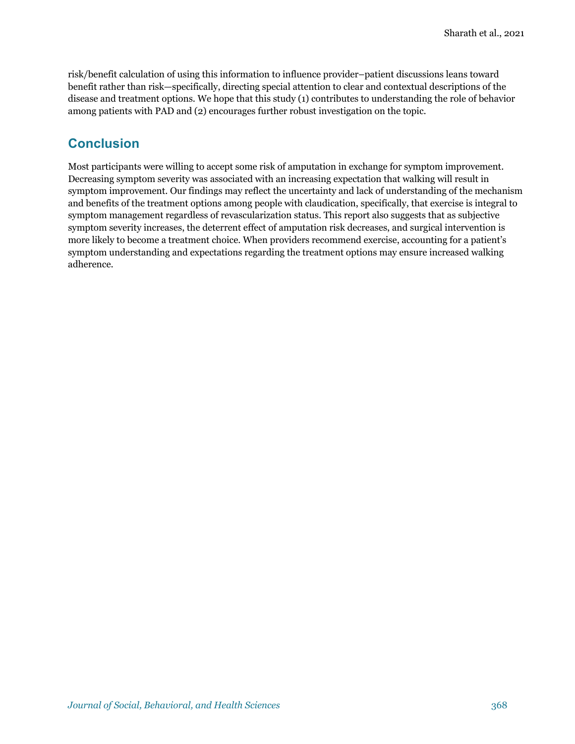risk/benefit calculation of using this information to influence provider–patient discussions leans toward benefit rather than risk—specifically, directing special attention to clear and contextual descriptions of the disease and treatment options. We hope that this study (1) contributes to understanding the role of behavior among patients with PAD and (2) encourages further robust investigation on the topic.

## **Conclusion**

Most participants were willing to accept some risk of amputation in exchange for symptom improvement. Decreasing symptom severity was associated with an increasing expectation that walking will result in symptom improvement. Our findings may reflect the uncertainty and lack of understanding of the mechanism and benefits of the treatment options among people with claudication, specifically, that exercise is integral to symptom management regardless of revascularization status. This report also suggests that as subjective symptom severity increases, the deterrent effect of amputation risk decreases, and surgical intervention is more likely to become a treatment choice. When providers recommend exercise, accounting for a patient's symptom understanding and expectations regarding the treatment options may ensure increased walking adherence.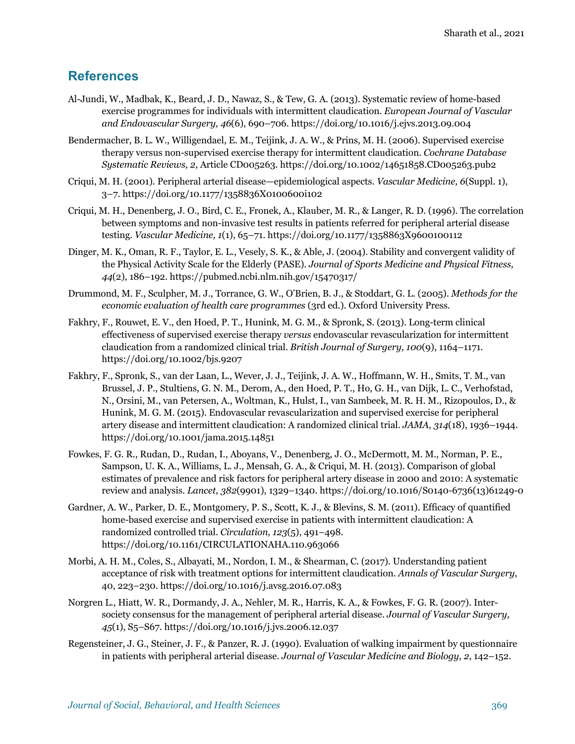## **References**

- Al-Jundi, W., Madbak, K., Beard, J. D., Nawaz, S., & Tew, G. A. (2013). Systematic review of home-based exercise programmes for individuals with intermittent claudication. *European Journal of Vascular and Endovascular Surgery, 46*(6), 690–706. https://doi.org/10.1016/j.ejvs.2013.09.004
- Bendermacher, B. L. W., Willigendael, E. M., Teijink, J. A. W., & Prins, M. H. (2006). Supervised exercise therapy versus non-supervised exercise therapy for intermittent claudication. *Cochrane Database Systematic Reviews*, *2*, Article CD005263. https://doi.org/10.1002/14651858.CD005263.pub2
- Criqui, M. H. (2001). Peripheral arterial disease—epidemiological aspects. *Vascular Medicine, 6*(Suppl. 1), 3–7. https://doi.org/10.1177/1358836X0100600i102
- Criqui, M. H., Denenberg, J. O., Bird, C. E., Fronek, A., Klauber, M. R., & Langer, R. D. (1996). The correlation between symptoms and non-invasive test results in patients referred for peripheral arterial disease testing. *Vascular Medicine, 1*(1), 65–71. https://doi.org/10.1177/1358863X9600100112
- Dinger, M. K., Oman, R. F., Taylor, E. L., Vesely, S. K., & Able, J. (2004). Stability and convergent validity of the Physical Activity Scale for the Elderly (PASE). *Journal of Sports Medicine and Physical Fitness, 44*(2), 186–192. https://pubmed.ncbi.nlm.nih.gov/15470317/
- Drummond, M. F., Sculpher, M. J., Torrance, G. W., O'Brien, B. J., & Stoddart, G. L. (2005). *Methods for the economic evaluation of health care programmes* (3rd ed.). Oxford University Press.
- Fakhry, F., Rouwet, E. V., den Hoed, P. T., Hunink, M. G. M., & Spronk, S. (2013). Long-term clinical effectiveness of supervised exercise therapy *versus* endovascular revascularization for intermittent claudication from a randomized clinical trial. *British Journal of Surgery, 100*(9), 1164–1171. https://doi.org/10.1002/bjs.9207
- Fakhry, F., Spronk, S., van der Laan, L., Wever, J. J., Teijink, J. A. W., Hoffmann, W. H., Smits, T. M., van Brussel, J. P., Stultiens, G. N. M., Derom, A., den Hoed, P. T., Ho, G. H., van Dijk, L. C., Verhofstad, N., Orsini, M., van Petersen, A., Woltman, K., Hulst, I., van Sambeek, M. R. H. M., Rizopoulos, D., & Hunink, M. G. M. (2015). Endovascular revascularization and supervised exercise for peripheral artery disease and intermittent claudication: A randomized clinical trial. *JAMA, 314*(18), 1936–1944. https://doi.org/10.1001/jama.2015.14851
- Fowkes, F. G. R., Rudan, D., Rudan, I., Aboyans, V., Denenberg, J. O., McDermott, M. M., Norman, P. E., Sampson, U. K. A., Williams, L. J., Mensah, G. A., & Criqui, M. H. (2013). Comparison of global estimates of prevalence and risk factors for peripheral artery disease in 2000 and 2010: A systematic review and analysis. *Lancet, 382*(9901), 1329–1340. https://doi.org/10.1016/S0140-6736(13)61249-0
- Gardner, A. W., Parker, D. E., Montgomery, P. S., Scott, K. J., & Blevins, S. M. (2011). Efficacy of quantified home-based exercise and supervised exercise in patients with intermittent claudication: A randomized controlled trial. *Circulation, 123*(5), 491–498. https://doi.org/10.1161/CIRCULATIONAHA.110.963066
- Morbi, A. H. M., Coles, S., Albayati, M., Nordon, I. M., & Shearman, C. (2017). Understanding patient acceptance of risk with treatment options for intermittent claudication. *Annals of Vascular Surgery*, 40, 223–230. https://doi.org/10.1016/j.avsg.2016.07.083
- Norgren L., Hiatt, W. R., Dormandy, J. A., Nehler, M. R., Harris, K. A., & Fowkes, F. G. R. (2007). Intersociety consensus for the management of peripheral arterial disease. *Journal of Vascular Surgery, 45*(1), S5–S67. https://doi.org/10.1016/j.jvs.2006.12.037
- Regensteiner, J. G., Steiner, J. F., & Panzer, R. J. (1990). Evaluation of walking impairment by questionnaire in patients with peripheral arterial disease. *Journal of Vascular Medicine and Biology, 2*, 142–152.